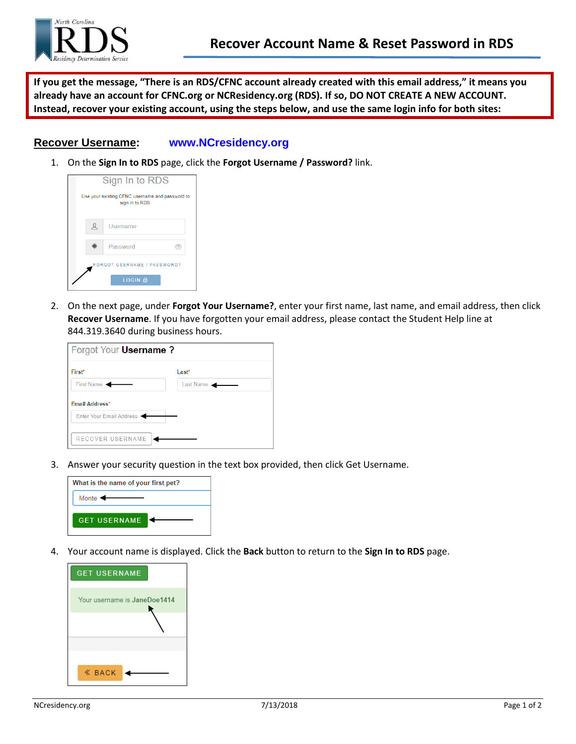

**If you get the message, "There is an RDS/CFNC account already created with this email address," it means you already have an account for CFNC.org or NCResidency.org (RDS). If so, DO NOT CREATE A NEW ACCOUNT. Instead, recover your existing account, using the steps below, and use the same login info for both sites:**

## **Recover Username: [www.NCresidency.org](http://www.ncresidency.org/)**

1. On the **Sign In to RDS** page, click the **Forgot Username / Password?** link.



2. On the next page, under **Forgot Your Username?**, enter your first name, last name, and email address, then click **Recover Username**. If you have forgotten your email address, please contact the Student Help line at 844.319.3640 during business hours.

| Forgot Your Username?    |                   |
|--------------------------|-------------------|
| First*                   | Last <sup>*</sup> |
| First Name               | Last Name         |
| Email Address*           |                   |
| Enter Your Email Address |                   |
| RECOVER USERNAME         |                   |

3. Answer your security question in the text box provided, then click Get Username.



4. Your account name is displayed. Click the **Back** button to return to the **Sign In to RDS** page.